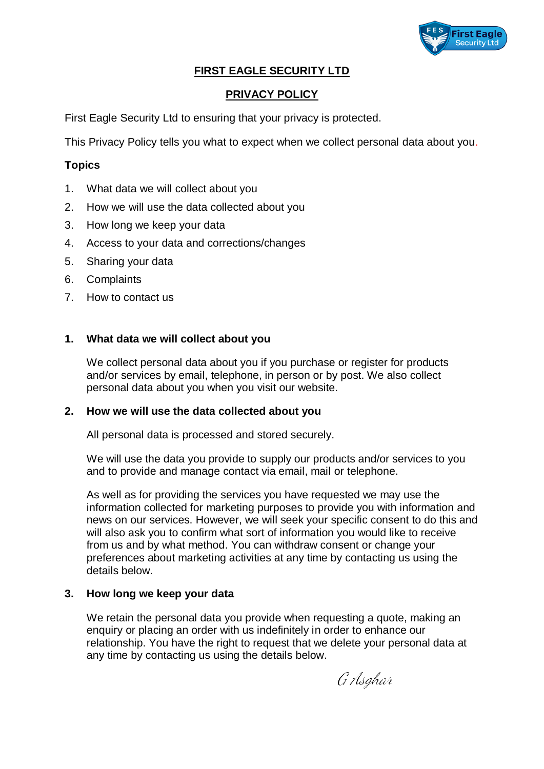

# **FIRST EAGLE SECURITY LTD**

# **PRIVACY POLICY**

First Eagle Security Ltd to ensuring that your privacy is protected.

This Privacy Policy tells you what to expect when we collect personal data about you.

### **Topics**

- 1. What data we will collect about you
- 2. How we will use the data collected about you
- 3. How long we keep your data
- 4. Access to your data and corrections/changes
- 5. Sharing your data
- 6. Complaints
- 7. How to contact us

## **1. What data we will collect about you**

We collect personal data about you if you purchase or register for products and/or services by email, telephone, in person or by post. We also collect personal data about you when you visit our website.

#### **2. How we will use the data collected about you**

All personal data is processed and stored securely.

We will use the data you provide to supply our products and/or services to you and to provide and manage contact via email, mail or telephone.

As well as for providing the services you have requested we may use the information collected for marketing purposes to provide you with information and news on our services. However, we will seek your specific consent to do this and will also ask you to confirm what sort of information you would like to receive from us and by what method. You can withdraw consent or change your preferences about marketing activities at any time by contacting us using the details below.

#### **3. How long we keep your data**

We retain the personal data you provide when requesting a quote, making an enquiry or placing an order with us indefinitely in order to enhance our relationship. You have the right to request that we delete your personal data at any time by contacting us using the details below.

G Asahar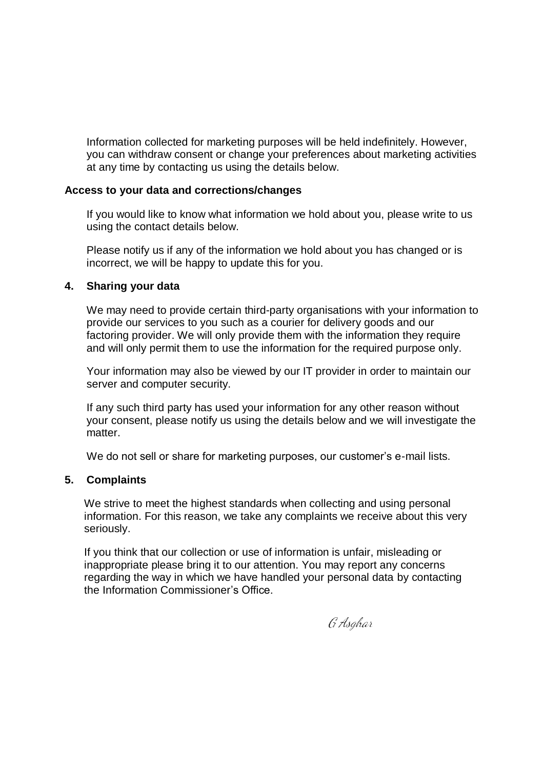Information collected for marketing purposes will be held indefinitely. However, you can withdraw consent or change your preferences about marketing activities at any time by contacting us using the details below.

### **Access to your data and corrections/changes**

If you would like to know what information we hold about you, please write to us using the contact details below.

Please notify us if any of the information we hold about you has changed or is incorrect, we will be happy to update this for you.

## **4. Sharing your data**

We may need to provide certain third-party organisations with your information to provide our services to you such as a courier for delivery goods and our factoring provider. We will only provide them with the information they require and will only permit them to use the information for the required purpose only.

Your information may also be viewed by our IT provider in order to maintain our server and computer security.

If any such third party has used your information for any other reason without your consent, please notify us using the details below and we will investigate the matter.

We do not sell or share for marketing purposes, our customer's e-mail lists.

# **5. Complaints**

We strive to meet the highest standards when collecting and using personal information. For this reason, we take any complaints we receive about this very seriously.

If you think that our collection or use of information is unfair, misleading or inappropriate please bring it to our attention. You may report any concerns regarding the way in which we have handled your personal data by contacting the Information Commissioner's Office.

G Asahar